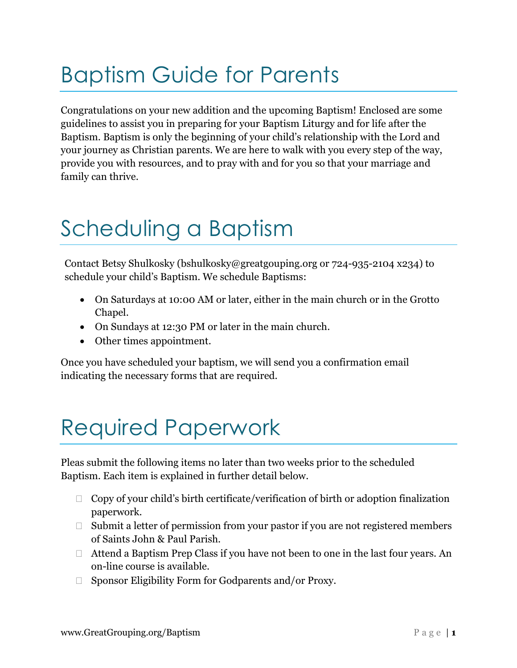## Baptism Guide for Parents

Congratulations on your new addition and the upcoming Baptism! Enclosed are some guidelines to assist you in preparing for your Baptism Liturgy and for life after the Baptism. Baptism is only the beginning of your child's relationship with the Lord and your journey as Christian parents. We are here to walk with you every step of the way, provide you with resources, and to pray with and for you so that your marriage and family can thrive.

## Scheduling a Baptism

Contact Betsy Shulkosky (bshulkosky@greatgouping.org or 724-935-2104 x234) to schedule your child's Baptism. We schedule Baptisms:

- On Saturdays at 10:00 AM or later, either in the main church or in the Grotto Chapel.
- On Sundays at 12:30 PM or later in the main church.
- Other times appointment.

Once you have scheduled your baptism, we will send you a confirmation email indicating the necessary forms that are required.

## Required Paperwork

Pleas submit the following items no later than two weeks prior to the scheduled Baptism. Each item is explained in further detail below.

- $\Box$  Copy of your child's birth certificate/verification of birth or adoption finalization paperwork.
- $\Box$  Submit a letter of permission from your pastor if you are not registered members of Saints John & Paul Parish.
- Attend a Baptism Prep Class if you have not been to one in the last four years. An on-line course is available.
- □ Sponsor Eligibility Form for Godparents and/or Proxy.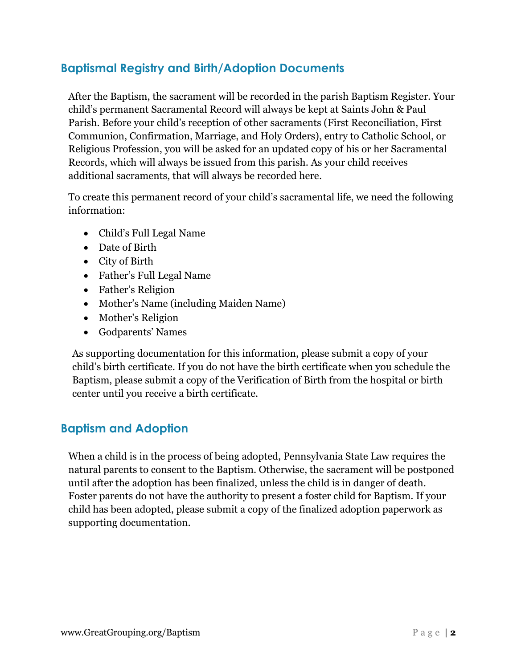## **Baptismal Registry and Birth/Adoption Documents**

After the Baptism, the sacrament will be recorded in the parish Baptism Register. Your child's permanent Sacramental Record will always be kept at Saints John & Paul Parish. Before your child's reception of other sacraments (First Reconciliation, First Communion, Confirmation, Marriage, and Holy Orders), entry to Catholic School, or Religious Profession, you will be asked for an updated copy of his or her Sacramental Records, which will always be issued from this parish. As your child receives additional sacraments, that will always be recorded here.

To create this permanent record of your child's sacramental life, we need the following information:

- Child's Full Legal Name
- Date of Birth
- City of Birth
- Father's Full Legal Name
- Father's Religion
- Mother's Name (including Maiden Name)
- Mother's Religion
- Godparents' Names

As supporting documentation for this information, please submit a copy of your child's birth certificate. If you do not have the birth certificate when you schedule the Baptism, please submit a copy of the Verification of Birth from the hospital or birth center until you receive a birth certificate.

## **Baptism and Adoption**

When a child is in the process of being adopted, Pennsylvania State Law requires the natural parents to consent to the Baptism. Otherwise, the sacrament will be postponed until after the adoption has been finalized, unless the child is in danger of death. Foster parents do not have the authority to present a foster child for Baptism. If your child has been adopted, please submit a copy of the finalized adoption paperwork as supporting documentation.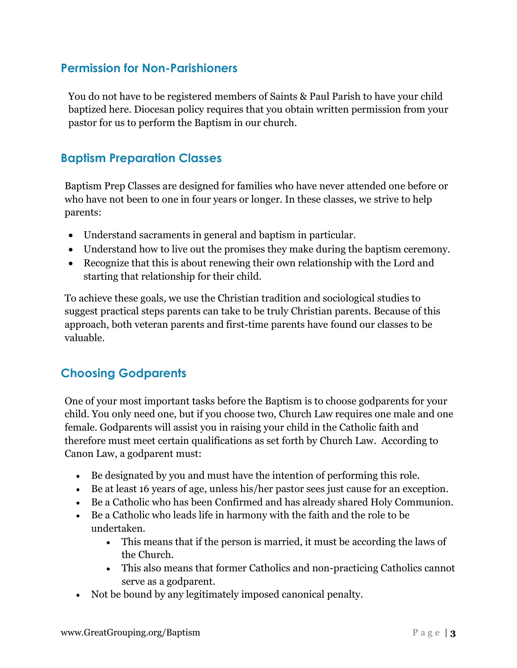### **Permission for Non-Parishioners**

You do not have to be registered members of Saints & Paul Parish to have your child baptized here. Diocesan policy requires that you obtain written permission from your pastor for us to perform the Baptism in our church*.* 

### **Baptism Preparation Classes**

Baptism Prep Classes are designed for families who have never attended one before or who have not been to one in four years or longer. In these classes, we strive to help parents:

- Understand sacraments in general and baptism in particular.
- Understand how to live out the promises they make during the baptism ceremony.
- Recognize that this is about renewing their own relationship with the Lord and starting that relationship for their child.

To achieve these goals, we use the Christian tradition and sociological studies to suggest practical steps parents can take to be truly Christian parents. Because of this approach, both veteran parents and first-time parents have found our classes to be valuable.

## **Choosing Godparents**

One of your most important tasks before the Baptism is to choose godparents for your child. You only need one, but if you choose two, Church Law requires one male and one female. Godparents will assist you in raising your child in the Catholic faith and therefore must meet certain qualifications as set forth by Church Law. According to Canon Law, a godparent must:

- Be designated by you and must have the intention of performing this role.
- Be at least 16 years of age, unless his/her pastor sees just cause for an exception.
- Be a Catholic who has been Confirmed and has already shared Holy Communion.
- Be a Catholic who leads life in harmony with the faith and the role to be undertaken.
	- This means that if the person is married, it must be according the laws of the Church.
	- This also means that former Catholics and non-practicing Catholics cannot serve as a godparent.
- Not be bound by any legitimately imposed canonical penalty.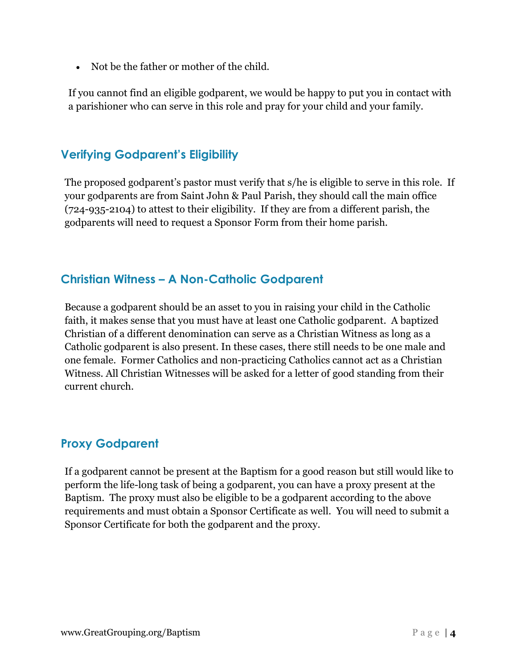• Not be the father or mother of the child.

If you cannot find an eligible godparent, we would be happy to put you in contact with a parishioner who can serve in this role and pray for your child and your family.

## **Verifying Godparent's Eligibility**

The proposed godparent's pastor must verify that s/he is eligible to serve in this role. If your godparents are from Saint John & Paul Parish, they should call the main office (724-935-2104) to attest to their eligibility. If they are from a different parish, the godparents will need to request a Sponsor Form from their home parish.

## **Christian Witness – A Non-Catholic Godparent**

Because a godparent should be an asset to you in raising your child in the Catholic faith, it makes sense that you must have at least one Catholic godparent. A baptized Christian of a different denomination can serve as a Christian Witness as long as a Catholic godparent is also present. In these cases, there still needs to be one male and one female. Former Catholics and non-practicing Catholics cannot act as a Christian Witness. All Christian Witnesses will be asked for a letter of good standing from their current church.

### **Proxy Godparent**

If a godparent cannot be present at the Baptism for a good reason but still would like to perform the life-long task of being a godparent, you can have a proxy present at the Baptism. The proxy must also be eligible to be a godparent according to the above requirements and must obtain a Sponsor Certificate as well. You will need to submit a Sponsor Certificate for both the godparent and the proxy.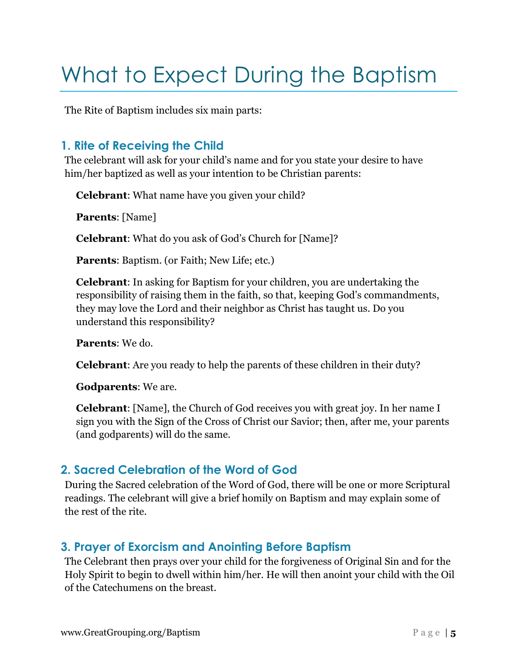## What to Expect During the Baptism

The Rite of Baptism includes six main parts:

## **1. Rite of Receiving the Child**

The celebrant will ask for your child's name and for you state your desire to have him/her baptized as well as your intention to be Christian parents:

**Celebrant**: What name have you given your child?

**Parents**: [Name]

**Celebrant**: What do you ask of God's Church for [Name]?

**Parents**: Baptism. (or Faith; New Life; etc.)

**Celebrant**: In asking for Baptism for your children, you are undertaking the responsibility of raising them in the faith, so that, keeping God's commandments, they may love the Lord and their neighbor as Christ has taught us. Do you understand this responsibility?

**Parents**: We do.

**Celebrant**: Are you ready to help the parents of these children in their duty?

**Godparents**: We are.

**Celebrant**: [Name], the Church of God receives you with great joy. In her name I sign you with the Sign of the Cross of Christ our Savior; then, after me, your parents (and godparents) will do the same.

## **2. Sacred Celebration of the Word of God**

During the Sacred celebration of the Word of God, there will be one or more Scriptural readings. The celebrant will give a brief homily on Baptism and may explain some of the rest of the rite.

## **3. Prayer of Exorcism and Anointing Before Baptism**

The Celebrant then prays over your child for the forgiveness of Original Sin and for the Holy Spirit to begin to dwell within him/her. He will then anoint your child with the Oil of the Catechumens on the breast.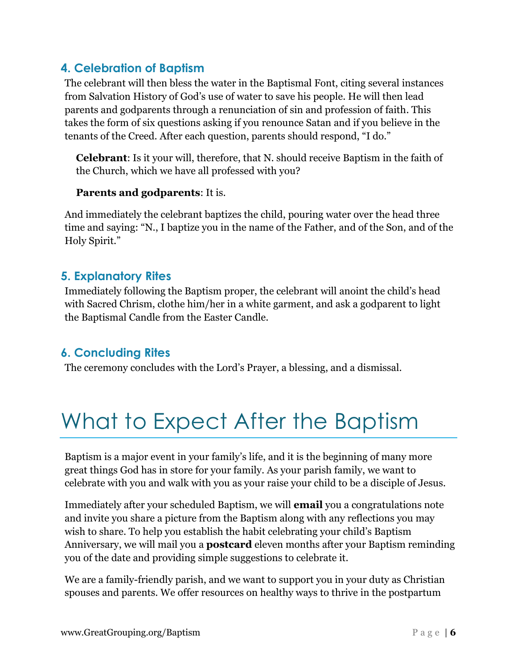## **4. Celebration of Baptism**

The celebrant will then bless the water in the Baptismal Font, citing several instances from Salvation History of God's use of water to save his people. He will then lead parents and godparents through a renunciation of sin and profession of faith. This takes the form of six questions asking if you renounce Satan and if you believe in the tenants of the Creed. After each question, parents should respond, "I do."

**Celebrant**: Is it your will, therefore, that N. should receive Baptism in the faith of the Church, which we have all professed with you?

### **Parents and godparents**: It is.

And immediately the celebrant baptizes the child, pouring water over the head three time and saying: "N., I baptize you in the name of the Father, and of the Son, and of the Holy Spirit."

### **5. Explanatory Rites**

Immediately following the Baptism proper, the celebrant will anoint the child's head with Sacred Chrism, clothe him/her in a white garment, and ask a godparent to light the Baptismal Candle from the Easter Candle.

### **6. Concluding Rites**

The ceremony concludes with the Lord's Prayer, a blessing, and a dismissal.

## What to Expect After the Baptism

Baptism is a major event in your family's life, and it is the beginning of many more great things God has in store for your family. As your parish family, we want to celebrate with you and walk with you as your raise your child to be a disciple of Jesus.

Immediately after your scheduled Baptism, we will **email** you a congratulations note and invite you share a picture from the Baptism along with any reflections you may wish to share. To help you establish the habit celebrating your child's Baptism Anniversary, we will mail you a **postcard** eleven months after your Baptism reminding you of the date and providing simple suggestions to celebrate it.

We are a family-friendly parish, and we want to support you in your duty as Christian spouses and parents. We offer resources on healthy ways to thrive in the postpartum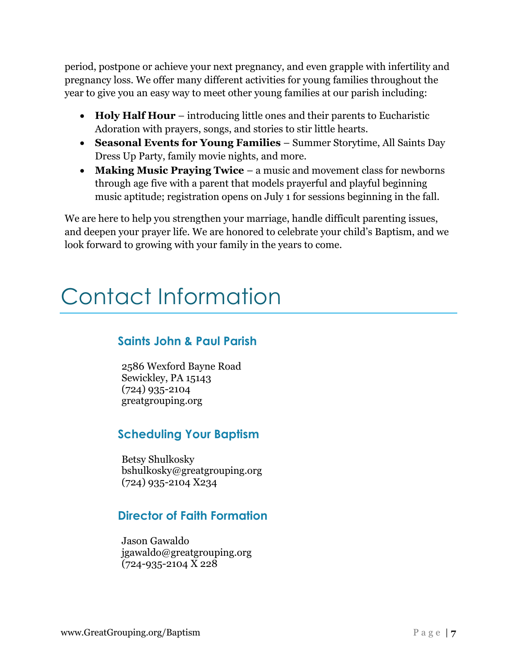period, postpone or achieve your next pregnancy, and even grapple with infertility and pregnancy loss. We offer many different activities for young families throughout the year to give you an easy way to meet other young families at our parish including:

- **Holy Half Hour** introducing little ones and their parents to Eucharistic Adoration with prayers, songs, and stories to stir little hearts.
- **Seasonal Events for Young Families**  Summer Storytime, All Saints Day Dress Up Party, family movie nights, and more.
- **Making Music Praying Twice** a music and movement class for newborns through age five with a parent that models prayerful and playful beginning music aptitude; registration opens on July 1 for sessions beginning in the fall.

We are here to help you strengthen your marriage, handle difficult parenting issues, and deepen your prayer life. We are honored to celebrate your child's Baptism, and we look forward to growing with your family in the years to come.

## Contact Information

## **Saints John & Paul Parish**

2586 Wexford Bayne Road Sewickley, PA 15143 (724) 935-2104 greatgrouping.org

## **Scheduling Your Baptism**

Betsy Shulkosky bshulkosky@greatgrouping.org (724) 935-2104 X234

## **Director of Faith Formation**

Jason Gawaldo jgawaldo@greatgrouping.org (724-935-2104 X 228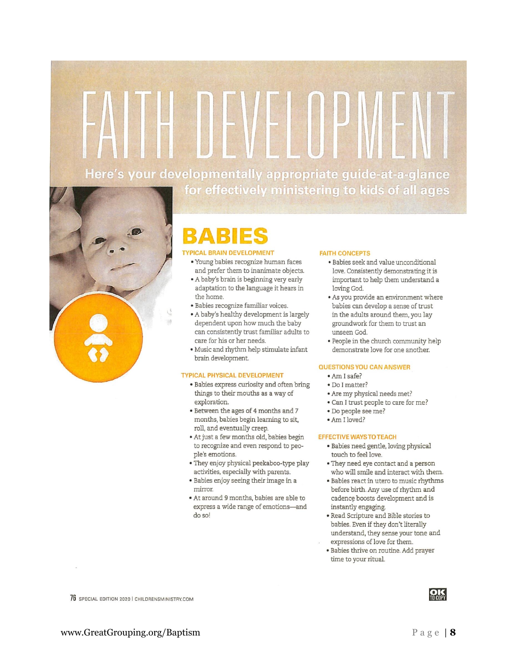# Here's your developmentally appropriate guide-at-a-glance for effectively ministering to kids of all ages



## RAR

### **TYPICAL BRAIN DEVELOPMENT**

- · Young babies recognize human faces and prefer them to inanimate objects.
- A baby's brain is beginning very early adaptation to the language it hears in the home.
- · Babies recognize familiar voices.
- A baby's healthy development is largely dependent upon how much the baby can consistently trust familiar adults to care for his or her needs.
- · Music and rhythm help stimulate infant brain development.

#### **TYPICAL PHYSICAL DEVELOPMENT**

- · Babies express curiosity and often bring things to their mouths as a way of exploration.
- Between the ages of 4 months and 7 months, babies begin learning to sit, roll, and eventually creep.
- · At just a few months old, babies begin to recognize and even respond to people's emotions.
- They enjoy physical peekaboo-type play activities, especially with parents.
- · Babies enjoy seeing their image in a mirror.
- · At around 9 months, babies are able to express a wide range of emotions-and do so!

#### **FAITH CONCEPTS**

- · Babies seek and value unconditional love. Consistently demonstrating it is important to help them understand a loving God.
- As you provide an environment where babies can develop a sense of trust in the adults around them, you lay groundwork for them to trust an unseen God.
- . People in the church community help demonstrate love for one another.

#### **QUESTIONS YOU CAN ANSWER**

- · Am I safe?
- · Do I matter?
- Are my physical needs met?
- · Can I trust people to care for me?
- · Do people see me?
- Am I loved?

#### EFFECTIVE WAYS TO TEACH

- · Babies need gentle, loving physical touch to feel love.
- They need eye contact and a person who will smile and interact with them.
- Babies react in utero to music rhythms before birth. Any use of rhythm and cadence boosts development and is instantly engaging.
- · Read Scripture and Bible stories to babies. Even if they don't literally understand, they sense your tone and expressions of love for them.
- · Babies thrive on routine. Add prayer time to your ritual.

76 SPECIAL EDITION 2020 | CHILDRENSMINISTRY.COM